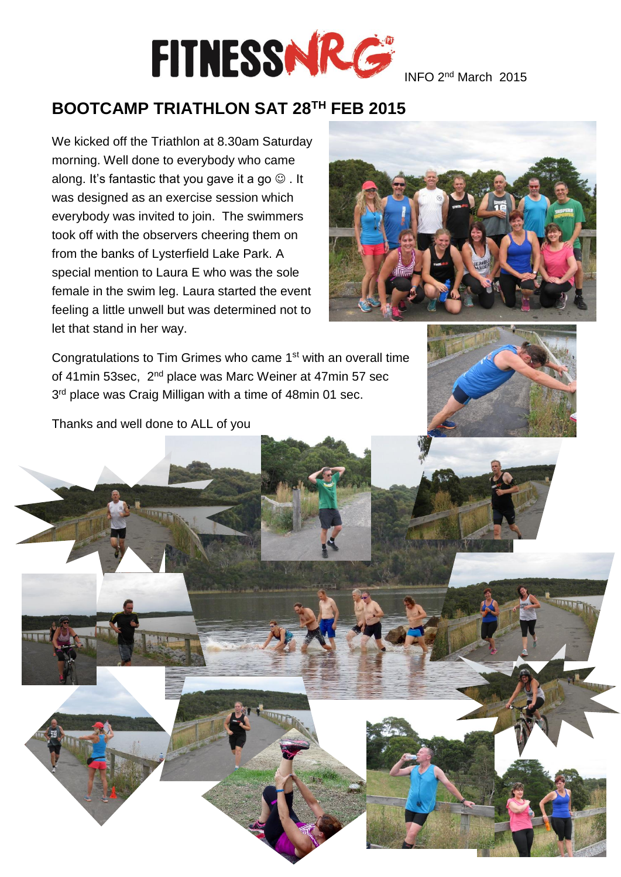

### **BOOTCAMP TRIATHLON SAT 28TH FEB 2015**

We kicked off the Triathlon at 8.30am Saturday morning. Well done to everybody who came along. It's fantastic that you gave it a go  $\odot$  . It was designed as an exercise session which everybody was invited to join. The swimmers took off with the observers cheering them on from the banks of Lysterfield Lake Park. A special mention to Laura E who was the sole female in the swim leg. Laura started the event feeling a little unwell but was determined not to let that stand in her way.



Congratulations to Tim Grimes who came 1st with an overall time of 41 min 53sec, 2<sup>nd</sup> place was Marc Weiner at 47 min 57 sec 3<sup>rd</sup> place was Craig Milligan with a time of 48min 01 sec.



Thanks and well done to ALL of you